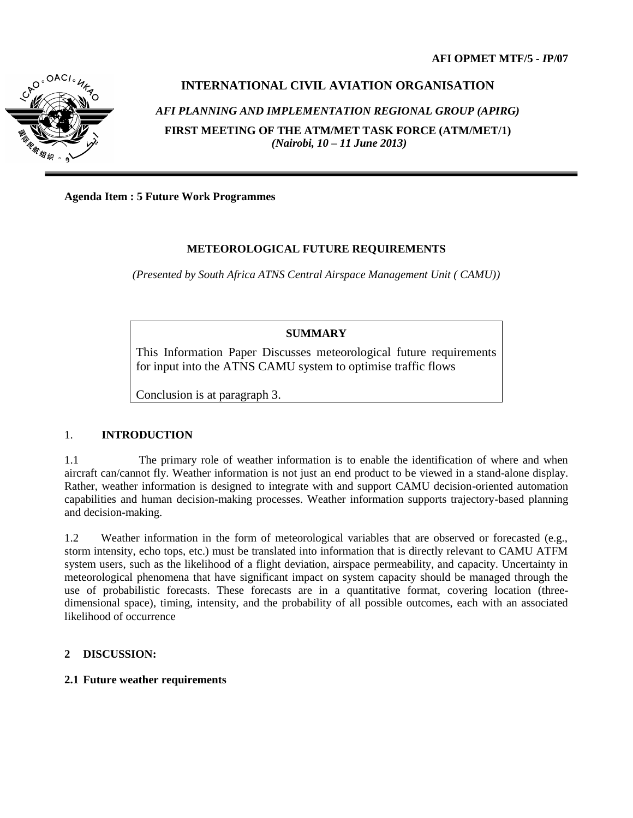

# **INTERNATIONAL CIVIL AVIATION ORGANISATION**  *AFI PLANNING AND IMPLEMENTATION REGIONAL GROUP (APIRG)* **FIRST MEETING OF THE ATM/MET TASK FORCE (ATM/MET/1)** *(Nairobi, 10 – 11 June 2013)*

**Agenda Item : 5 Future Work Programmes**

## **METEOROLOGICAL FUTURE REQUIREMENTS**

*(Presented by South Africa ATNS Central Airspace Management Unit ( CAMU))*

### **SUMMARY**

This Information Paper Discusses meteorological future requirements for input into the ATNS CAMU system to optimise traffic flows

Conclusion is at paragraph 3.

### 1. **INTRODUCTION**

1.1 The primary role of weather information is to enable the identification of where and when aircraft can/cannot fly. Weather information is not just an end product to be viewed in a stand-alone display. Rather, weather information is designed to integrate with and support CAMU decision-oriented automation capabilities and human decision-making processes. Weather information supports trajectory-based planning and decision-making.

1.2 Weather information in the form of meteorological variables that are observed or forecasted (e.g., storm intensity, echo tops, etc.) must be translated into information that is directly relevant to CAMU ATFM system users, such as the likelihood of a flight deviation, airspace permeability, and capacity. Uncertainty in meteorological phenomena that have significant impact on system capacity should be managed through the use of probabilistic forecasts. These forecasts are in a quantitative format, covering location (threedimensional space), timing, intensity, and the probability of all possible outcomes, each with an associated likelihood of occurrence

### **2 DISCUSSION:**

#### **2.1 Future weather requirements**